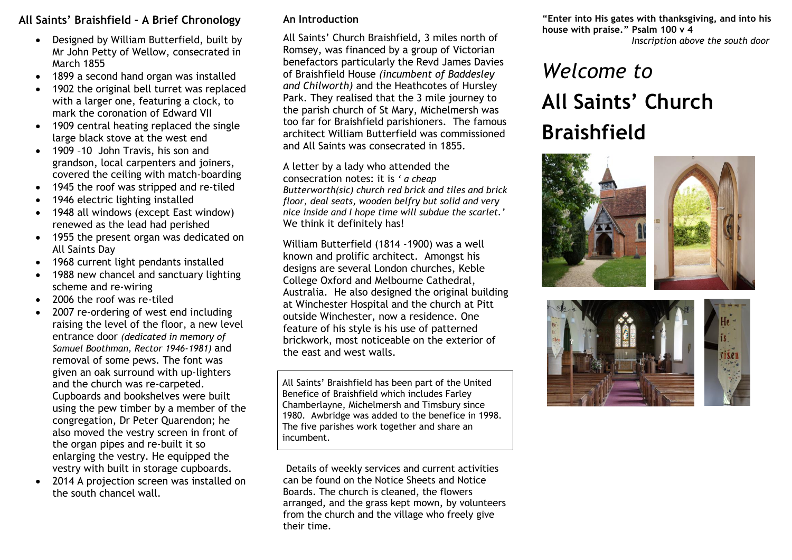## **All Saints' Braishfield - A Brief Chronology**

- Designed by William Butterfield, built by Mr John Petty of Wellow, consecrated in March 1855
- 1899 a second hand organ was installed
- 1902 the original bell turret was replaced with a larger one, featuring a clock, to mark the coronation of Edward VII
- 1909 central heating replaced the single large black stove at the west end
- 1909 -10 John Travis, his son and grandson, local carpenters and joiners, covered the ceiling with match-boarding
- 1945 the roof was stripped and re-tiled
- 1946 electric lighting installed
- 1948 all windows (except East window) renewed as the lead had perished
- 1955 the present organ was dedicated on All Saints Day
- 1968 current light pendants installed
- 1988 new chancel and sanctuary lighting scheme and re-wiring
- 2006 the roof was re-tiled
- 2007 re-ordering of west end including raising the level of the floor, a new level entrance door *(dedicated in memory of Samuel Boothman, Rector 1946-1981)* and removal of some pews. The font was given an oak surround with up-lighters and the church was re-carpeted. Cupboards and bookshelves were built using the pew timber by a member of the congregation, Dr Peter Quarendon; he also moved the vestry screen in front of the organ pipes and re-built it so enlarging the vestry. He equipped the vestry with built in storage cupboards.
- 2014 A projection screen was installed on the south chancel wall.

## **An Introduction**

All Saints' Church Braishfield, 3 miles north of Romsey, was financed by a group of Victorian benefactors particularly the Revd James Davies of Braishfield House *(incumbent of Baddesley and Chilworth)* and the Heathcotes of Hursley Park. They realised that the 3 mile journey to the parish church of St Mary, Michelmersh was too far for Braishfield parishioners. The famous architect William Butterfield was commissioned and All Saints was consecrated in 1855.

A letter by a lady who attended the consecration notes: it is *' a cheap Butterworth(sic) church red brick and tiles and brick floor, deal seats, wooden belfry but solid and very nice inside and I hope time will subdue the scarlet.'* We think it definitely has!

William Butterfield (1814 -1900) was a well known and prolific architect. Amongst his designs are several London churches, Keble College Oxford and Melbourne Cathedral, Australia. He also designed the original building at Winchester Hospital and the church at Pitt outside Winchester, now a residence. One feature of his style is his use of patterned brickwork, most noticeable on the exterior of the east and west walls.

All Saints' Braishfield has been part of the United Benefice of Braishfield which includes Farley Chamberlayne, Michelmersh and Timsbury since 1980. Awbridge was added to the benefice in 1998. The five parishes work together and share an incumbent.

Details of weekly services and current activities can be found on the Notice Sheets and Notice Boards. The church is cleaned, the flowers arranged, and the grass kept mown, by volunteers from the church and the village who freely give their time.

**"Enter into His gates with thanksgiving, and into his house with praise." Psalm 100 v 4** *Inscriptio*n *above the south door*

## *Welcome to*  **All Saints' Church Braishfield**